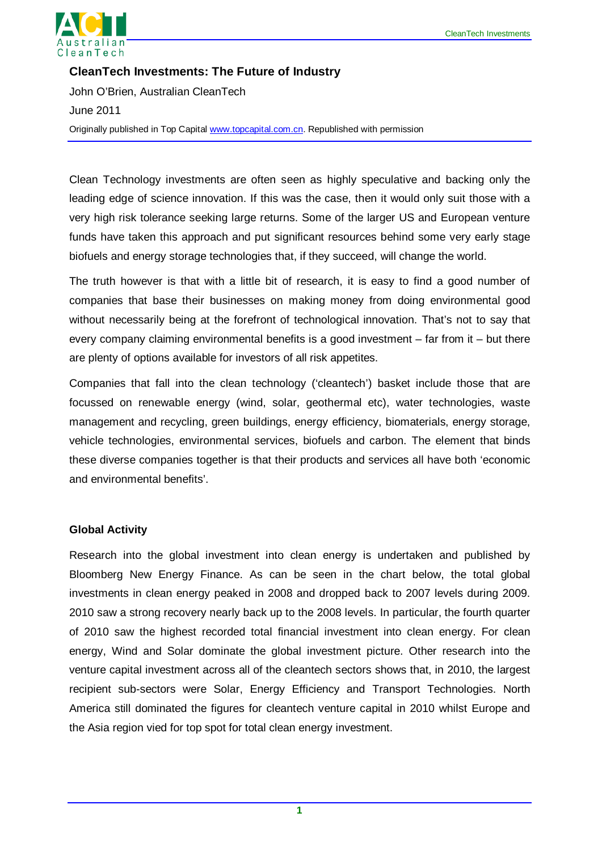

**CleanTech Investments: The Future of Industry** John O'Brien, Australian CleanTech June 2011 Originally published in Top Capital [www.topcapital.com.cn.](http://www.topcapital.com.cn/) Republished with permission

Clean Technology investments are often seen as highly speculative and backing only the leading edge of science innovation. If this was the case, then it would only suit those with a very high risk tolerance seeking large returns. Some of the larger US and European venture funds have taken this approach and put significant resources behind some very early stage biofuels and energy storage technologies that, if they succeed, will change the world.

The truth however is that with a little bit of research, it is easy to find a good number of companies that base their businesses on making money from doing environmental good without necessarily being at the forefront of technological innovation. That's not to say that every company claiming environmental benefits is a good investment – far from it – but there are plenty of options available for investors of all risk appetites.

Companies that fall into the clean technology ('cleantech') basket include those that are focussed on renewable energy (wind, solar, geothermal etc), water technologies, waste management and recycling, green buildings, energy efficiency, biomaterials, energy storage, vehicle technologies, environmental services, biofuels and carbon. The element that binds these diverse companies together is that their products and services all have both 'economic and environmental benefits'.

### **Global Activity**

Research into the global investment into clean energy is undertaken and published by Bloomberg New Energy Finance. As can be seen in the chart below, the total global investments in clean energy peaked in 2008 and dropped back to 2007 levels during 2009. 2010 saw a strong recovery nearly back up to the 2008 levels. In particular, the fourth quarter of 2010 saw the highest recorded total financial investment into clean energy. For clean energy, Wind and Solar dominate the global investment picture. Other research into the venture capital investment across all of the cleantech sectors shows that, in 2010, the largest recipient sub-sectors were Solar, Energy Efficiency and Transport Technologies. North America still dominated the figures for cleantech venture capital in 2010 whilst Europe and the Asia region vied for top spot for total clean energy investment.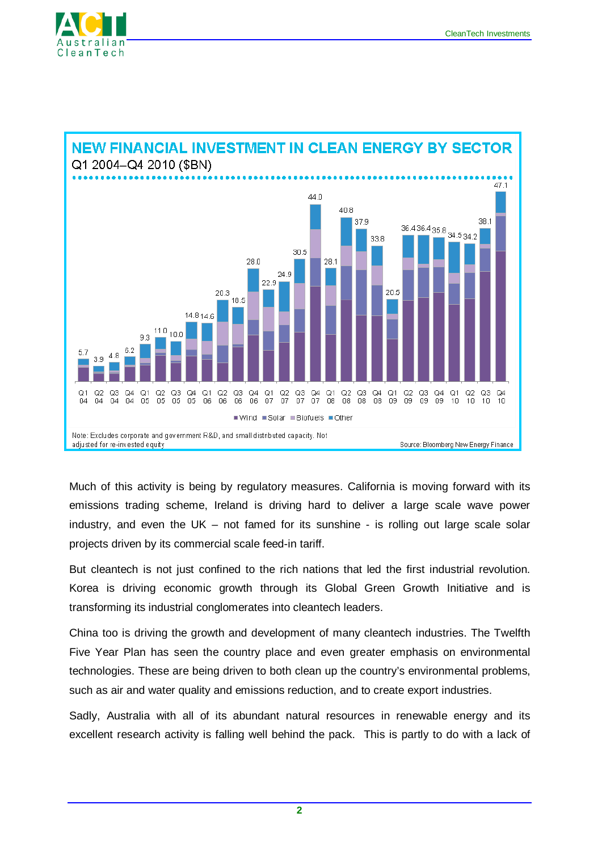





Much of this activity is being by regulatory measures. California is moving forward with its emissions trading scheme, Ireland is driving hard to deliver a large scale wave power industry, and even the UK – not famed for its sunshine - is rolling out large scale solar projects driven by its commercial scale feed-in tariff.

But cleantech is not just confined to the rich nations that led the first industrial revolution. Korea is driving economic growth through its Global Green Growth Initiative and is transforming its industrial conglomerates into cleantech leaders.

China too is driving the growth and development of many cleantech industries. The Twelfth Five Year Plan has seen the country place and even greater emphasis on environmental technologies. These are being driven to both clean up the country's environmental problems, such as air and water quality and emissions reduction, and to create export industries.

Sadly, Australia with all of its abundant natural resources in renewable energy and its excellent research activity is falling well behind the pack. This is partly to do with a lack of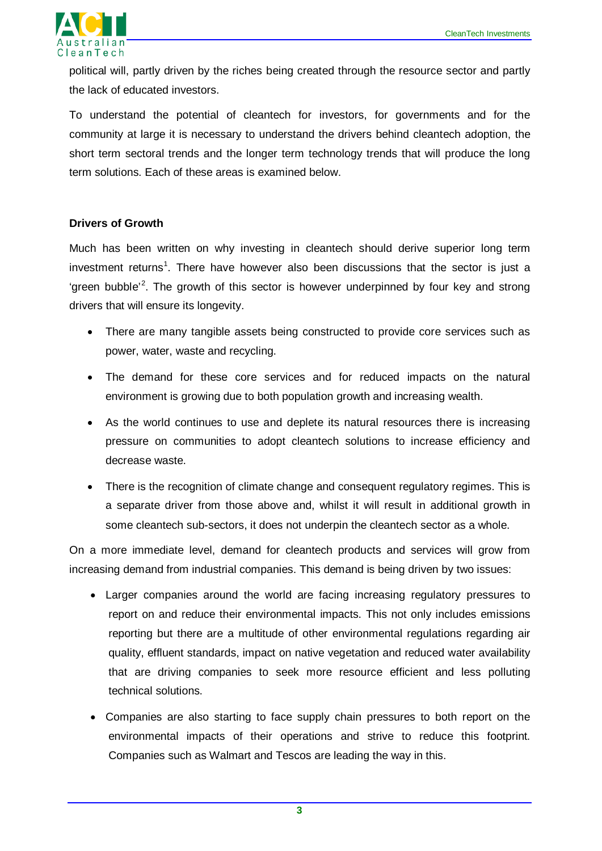

political will, partly driven by the riches being created through the resource sector and partly the lack of educated investors.

To understand the potential of cleantech for investors, for governments and for the community at large it is necessary to understand the drivers behind cleantech adoption, the short term sectoral trends and the longer term technology trends that will produce the long term solutions. Each of these areas is examined below.

### **Drivers of Growth**

Much has been written on why investing in cleantech should derive superior long term investment returns<sup>[1](#page-7-0)</sup>. There have however also been discussions that the sector is just a 'green bubble<sup>'[2](#page-7-1)</sup>. The growth of this sector is however underpinned by four key and strong drivers that will ensure its longevity.

- There are many tangible assets being constructed to provide core services such as power, water, waste and recycling.
- The demand for these core services and for reduced impacts on the natural environment is growing due to both population growth and increasing wealth.
- As the world continues to use and deplete its natural resources there is increasing pressure on communities to adopt cleantech solutions to increase efficiency and decrease waste.
- There is the recognition of climate change and consequent regulatory regimes. This is a separate driver from those above and, whilst it will result in additional growth in some cleantech sub-sectors, it does not underpin the cleantech sector as a whole.

On a more immediate level, demand for cleantech products and services will grow from increasing demand from industrial companies. This demand is being driven by two issues:

- Larger companies around the world are facing increasing regulatory pressures to report on and reduce their environmental impacts. This not only includes emissions reporting but there are a multitude of other environmental regulations regarding air quality, effluent standards, impact on native vegetation and reduced water availability that are driving companies to seek more resource efficient and less polluting technical solutions.
- Companies are also starting to face supply chain pressures to both report on the environmental impacts of their operations and strive to reduce this footprint. Companies such as Walmart and Tescos are leading the way in this.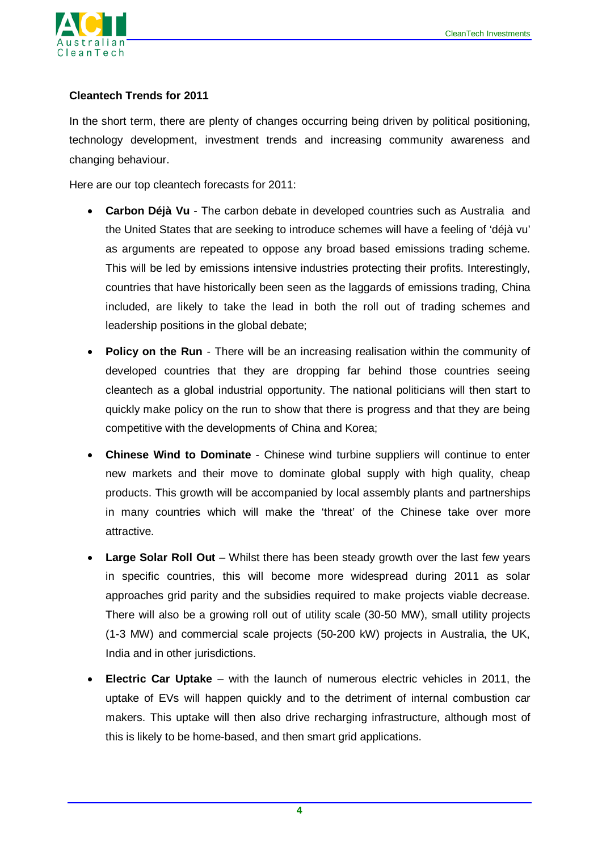

# **Cleantech Trends for 2011**

In the short term, there are plenty of changes occurring being driven by political positioning, technology development, investment trends and increasing community awareness and changing behaviour.

Here are our top cleantech forecasts for 2011:

- **Carbon Déjà Vu** The carbon debate in developed countries such as Australia and the United States that are seeking to introduce schemes will have a feeling of 'déjà vu' as arguments are repeated to oppose any broad based emissions trading scheme. This will be led by emissions intensive industries protecting their profits. Interestingly, countries that have historically been seen as the laggards of emissions trading, China included, are likely to take the lead in both the roll out of trading schemes and leadership positions in the global debate;
- **Policy on the Run** There will be an increasing realisation within the community of developed countries that they are dropping far behind those countries seeing cleantech as a global industrial opportunity. The national politicians will then start to quickly make policy on the run to show that there is progress and that they are being competitive with the developments of China and Korea;
- **Chinese Wind to Dominate** Chinese wind turbine suppliers will continue to enter new markets and their move to dominate global supply with high quality, cheap products. This growth will be accompanied by local assembly plants and partnerships in many countries which will make the 'threat' of the Chinese take over more attractive.
- **Large Solar Roll Out** Whilst there has been steady growth over the last few years in specific countries, this will become more widespread during 2011 as solar approaches grid parity and the subsidies required to make projects viable decrease. There will also be a growing roll out of utility scale (30-50 MW), small utility projects (1-3 MW) and commercial scale projects (50-200 kW) projects in Australia, the UK, India and in other jurisdictions.
- **Electric Car Uptake** with the launch of numerous electric vehicles in 2011, the uptake of EVs will happen quickly and to the detriment of internal combustion car makers. This uptake will then also drive recharging infrastructure, although most of this is likely to be home-based, and then smart grid applications.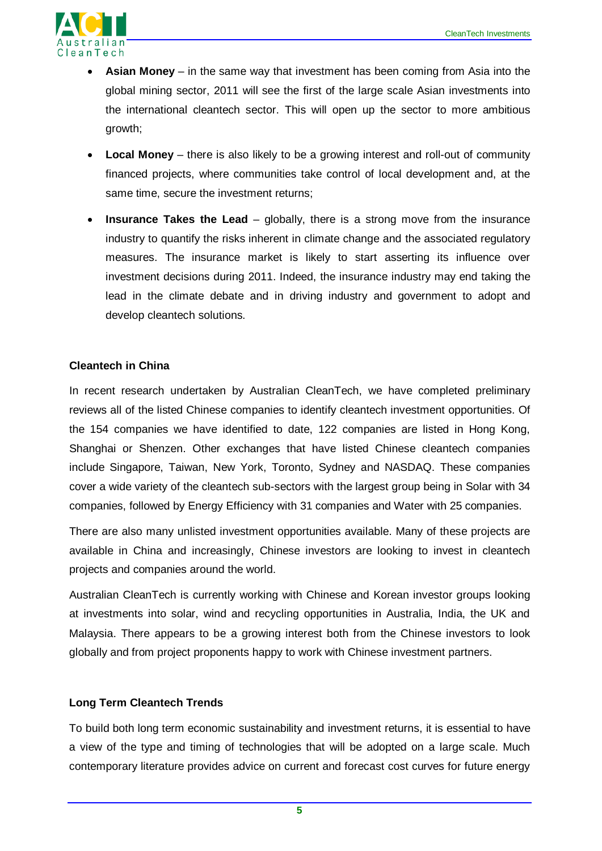

- **Asian Money** in the same way that investment has been coming from Asia into the global mining sector, 2011 will see the first of the large scale Asian investments into the international cleantech sector. This will open up the sector to more ambitious growth;
- **Local Money** there is also likely to be a growing interest and roll-out of community financed projects, where communities take control of local development and, at the same time, secure the investment returns;
- **Insurance Takes the Lead** globally, there is a strong move from the insurance industry to quantify the risks inherent in climate change and the associated regulatory measures. The insurance market is likely to start asserting its influence over investment decisions during 2011. Indeed, the insurance industry may end taking the lead in the climate debate and in driving industry and government to adopt and develop cleantech solutions.

# **Cleantech in China**

In recent research undertaken by Australian CleanTech, we have completed preliminary reviews all of the listed Chinese companies to identify cleantech investment opportunities. Of the 154 companies we have identified to date, 122 companies are listed in Hong Kong, Shanghai or Shenzen. Other exchanges that have listed Chinese cleantech companies include Singapore, Taiwan, New York, Toronto, Sydney and NASDAQ. These companies cover a wide variety of the cleantech sub-sectors with the largest group being in Solar with 34 companies, followed by Energy Efficiency with 31 companies and Water with 25 companies.

There are also many unlisted investment opportunities available. Many of these projects are available in China and increasingly, Chinese investors are looking to invest in cleantech projects and companies around the world.

Australian CleanTech is currently working with Chinese and Korean investor groups looking at investments into solar, wind and recycling opportunities in Australia, India, the UK and Malaysia. There appears to be a growing interest both from the Chinese investors to look globally and from project proponents happy to work with Chinese investment partners.

### **Long Term Cleantech Trends**

To build both long term economic sustainability and investment returns, it is essential to have a view of the type and timing of technologies that will be adopted on a large scale. Much contemporary literature provides advice on current and forecast cost curves for future energy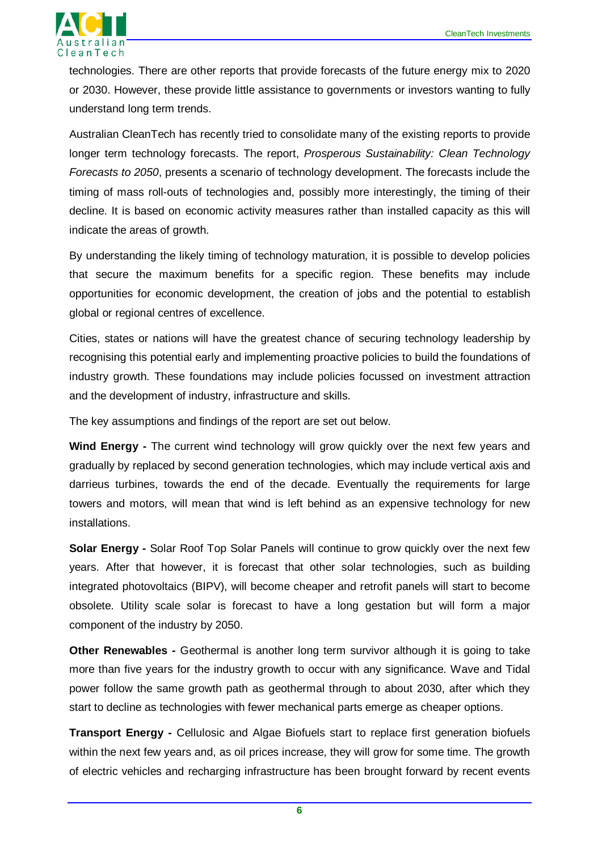

technologies. There are other reports that provide forecasts of the future energy mix to 2020 or 2030. However, these provide little assistance to governments or investors wanting to fully understand long term trends.

Australian CleanTech has recently tried to consolidate many of the existing reports to provide longer term technology forecasts. The report, *Prosperous Sustainability: Clean Technology Forecasts to 2050*, presents a scenario of technology development. The forecasts include the timing of mass roll-outs of technologies and, possibly more interestingly, the timing of their decline. It is based on economic activity measures rather than installed capacity as this will indicate the areas of growth.

By understanding the likely timing of technology maturation, it is possible to develop policies that secure the maximum benefits for a specific region. These benefits may include opportunities for economic development, the creation of jobs and the potential to establish global or regional centres of excellence.

Cities, states or nations will have the greatest chance of securing technology leadership by recognising this potential early and implementing proactive policies to build the foundations of industry growth. These foundations may include policies focussed on investment attraction and the development of industry, infrastructure and skills.

The key assumptions and findings of the report are set out below.

**Wind Energy -** The current wind technology will grow quickly over the next few years and gradually by replaced by second generation technologies, which may include vertical axis and darrieus turbines, towards the end of the decade. Eventually the requirements for large towers and motors, will mean that wind is left behind as an expensive technology for new installations.

**Solar Energy -** Solar Roof Top Solar Panels will continue to grow quickly over the next few years. After that however, it is forecast that other solar technologies, such as building integrated photovoltaics (BIPV), will become cheaper and retrofit panels will start to become obsolete. Utility scale solar is forecast to have a long gestation but will form a major component of the industry by 2050.

**Other Renewables -** Geothermal is another long term survivor although it is going to take more than five years for the industry growth to occur with any significance. Wave and Tidal power follow the same growth path as geothermal through to about 2030, after which they start to decline as technologies with fewer mechanical parts emerge as cheaper options.

**Transport Energy -** Cellulosic and Algae Biofuels start to replace first generation biofuels within the next few years and, as oil prices increase, they will grow for some time. The growth of electric vehicles and recharging infrastructure has been brought forward by recent events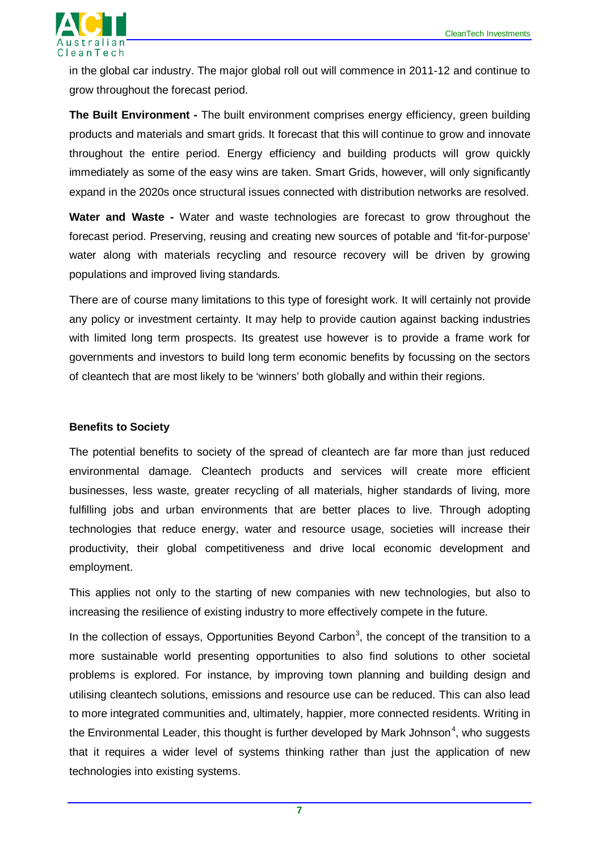

in the global car industry. The major global roll out will commence in 2011-12 and continue to grow throughout the forecast period.

**The Built Environment -** The built environment comprises energy efficiency, green building products and materials and smart grids. It forecast that this will continue to grow and innovate throughout the entire period. Energy efficiency and building products will grow quickly immediately as some of the easy wins are taken. Smart Grids, however, will only significantly expand in the 2020s once structural issues connected with distribution networks are resolved.

**Water and Waste -** Water and waste technologies are forecast to grow throughout the forecast period. Preserving, reusing and creating new sources of potable and 'fit-for-purpose' water along with materials recycling and resource recovery will be driven by growing populations and improved living standards.

There are of course many limitations to this type of foresight work. It will certainly not provide any policy or investment certainty. It may help to provide caution against backing industries with limited long term prospects. Its greatest use however is to provide a frame work for governments and investors to build long term economic benefits by focussing on the sectors of cleantech that are most likely to be 'winners' both globally and within their regions.

#### **Benefits to Society**

The potential benefits to society of the spread of cleantech are far more than just reduced environmental damage. Cleantech products and services will create more efficient businesses, less waste, greater recycling of all materials, higher standards of living, more fulfilling jobs and urban environments that are better places to live. Through adopting technologies that reduce energy, water and resource usage, societies will increase their productivity, their global competitiveness and drive local economic development and employment.

This applies not only to the starting of new companies with new technologies, but also to increasing the resilience of existing industry to more effectively compete in the future.

In the collection of essays, Opportunities Beyond Carbon<sup>[3](#page-7-2)</sup>, the concept of the transition to a more sustainable world presenting opportunities to also find solutions to other societal problems is explored. For instance, by improving town planning and building design and utilising cleantech solutions, emissions and resource use can be reduced. This can also lead to more integrated communities and, ultimately, happier, more connected residents. Writing in the Environmental Leader, this thought is further developed by Mark Johnson<sup>[4](#page-7-3)</sup>, who suggests that it requires a wider level of systems thinking rather than just the application of new technologies into existing systems.